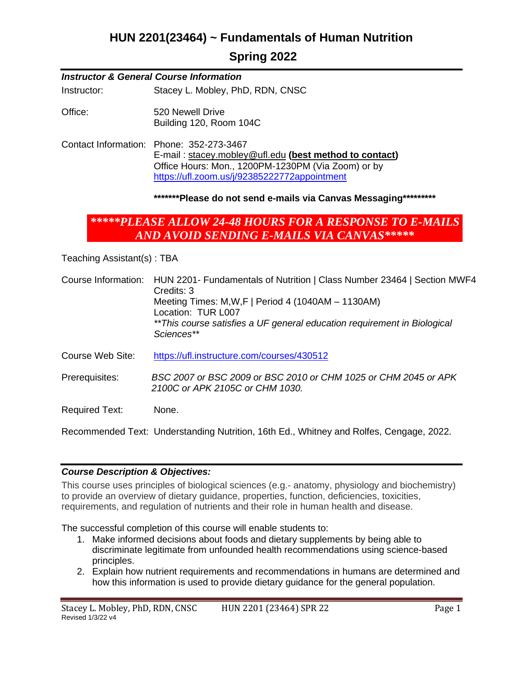## **HUN 2201(23464) ~ Fundamentals of Human Nutrition**

## **Spring 2022**

#### *Instructor & General Course Information*

Instructor: Stacey L. Mobley, PhD, RDN, CNSC

Office: 520 Newell Drive Building 120, Room 104C

Contact Information: Phone: 352-273-3467 E-mail : [stacey.mobley@ufl.edu](mailto:stacey.mobley@ufl.edu) **(best method to contact)** Office Hours: Mon., 1200PM-1230PM (Via Zoom) or by <https://ufl.zoom.us/j/92385222772appointment>

#### **\*\*\*\*\*\*\*Please do not send e-mails via Canvas Messaging\*\*\*\*\*\*\*\*\***

## *\*\*\*\*\*PLEASE ALLOW 24-48 HOURS FOR A RESPONSE TO E-MAILS AND AVOID SENDING E-MAILS VIA CANVAS\*\*\*\*\**

Teaching Assistant(s) : TBA

- Course Information: HUN 2201- Fundamentals of Nutrition | Class Number 23464 | Section MWF4 Credits: 3 Meeting Times: M,W,F | Period 4 (1040AM – 1130AM) Location: TUR L007 *\*\*This course satisfies a UF general education requirement in Biological Sciences\*\**
- Course Web Site: <https://ufl.instructure.com/courses/430512>
- Prerequisites: *BSC 2007 or BSC 2009 or BSC 2010 or CHM 1025 or CHM 2045 or APK 2100C or APK 2105C or CHM 1030.*

Required Text: None.

Recommended Text: Understanding Nutrition, 16th Ed., Whitney and Rolfes, Cengage, 2022.

#### *Course Description & Objectives:*

This course uses principles of biological sciences (e.g.- anatomy, physiology and biochemistry) to provide an overview of dietary guidance, properties, function, deficiencies, toxicities, requirements, and regulation of nutrients and their role in human health and disease.

The successful completion of this course will enable students to:

- 1. Make informed decisions about foods and dietary supplements by being able to discriminate legitimate from unfounded health recommendations using science-based principles.
- 2. Explain how nutrient requirements and recommendations in humans are determined and how this information is used to provide dietary guidance for the general population.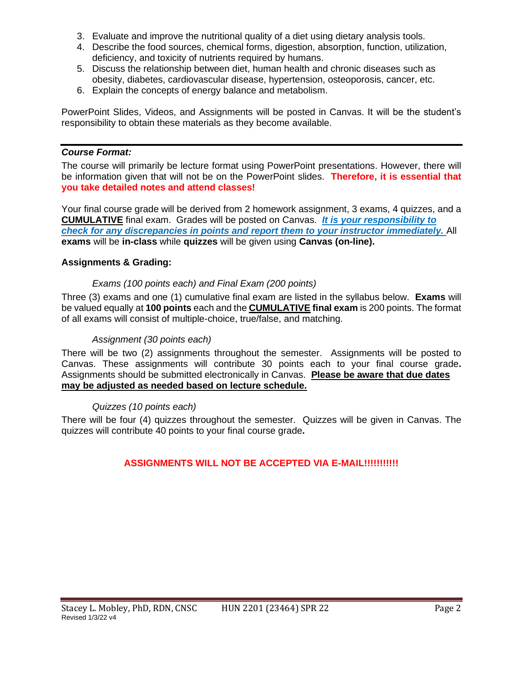- 3. Evaluate and improve the nutritional quality of a diet using dietary analysis tools.
- 4. Describe the food sources, chemical forms, digestion, absorption, function, utilization, deficiency, and toxicity of nutrients required by humans.
- 5. Discuss the relationship between diet, human health and chronic diseases such as obesity, diabetes, cardiovascular disease, hypertension, osteoporosis, cancer, etc.
- 6. Explain the concepts of energy balance and metabolism.

PowerPoint Slides, Videos, and Assignments will be posted in Canvas. It will be the student's responsibility to obtain these materials as they become available.

#### *Course Format:*

The course will primarily be lecture format using PowerPoint presentations. However, there will be information given that will not be on the PowerPoint slides. **Therefore, it is essential that you take detailed notes and attend classes!** 

Your final course grade will be derived from 2 homework assignment, 3 exams, 4 quizzes, and a **CUMULATIVE** final exam. Grades will be posted on Canvas. *It is your responsibility to check for any discrepancies in points and report them to your instructor immediately.* All **exams** will be **in-class** while **quizzes** will be given using **Canvas (on-line).**

### **Assignments & Grading:**

### *Exams (100 points each) and Final Exam (200 points)*

Three (3) exams and one (1) cumulative final exam are listed in the syllabus below. **Exams** will be valued equally at **100 points** each and the **CUMULATIVE final exam** is 200 points. The format of all exams will consist of multiple-choice, true/false, and matching.

#### *Assignment (30 points each)*

There will be two (2) assignments throughout the semester. Assignments will be posted to Canvas. These assignments will contribute 30 points each to your final course grade**.** Assignments should be submitted electronically in Canvas. **Please be aware that due dates may be adjusted as needed based on lecture schedule.**

#### *Quizzes (10 points each)*

There will be four (4) quizzes throughout the semester. Quizzes will be given in Canvas. The quizzes will contribute 40 points to your final course grade**.** 

## **ASSIGNMENTS WILL NOT BE ACCEPTED VIA E-MAIL!!!!!!!!!!!**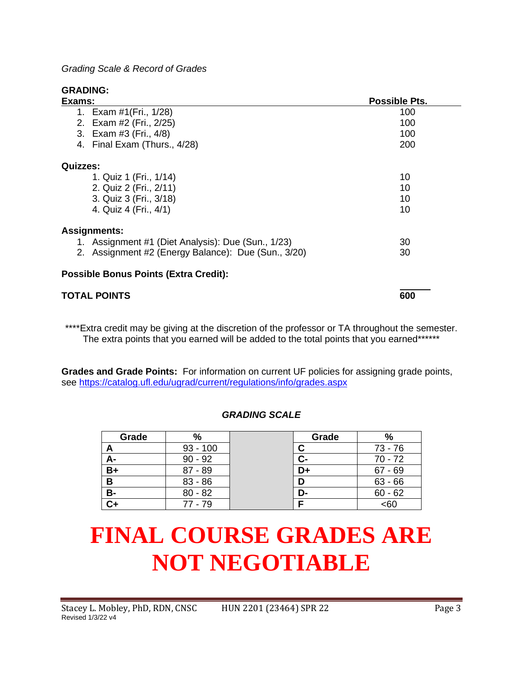*Grading Scale & Record of Grades*

**GRADING:**

| Exams:                                              | <b>Possible Pts.</b> |  |
|-----------------------------------------------------|----------------------|--|
| 1. Exam #1(Fri., 1/28)                              | 100                  |  |
| 2. Exam #2 (Fri., 2/25)                             | 100                  |  |
| 3. Exam #3 (Fri., 4/8)                              | 100                  |  |
| 4. Final Exam (Thurs., 4/28)                        | 200                  |  |
| <b>Quizzes:</b>                                     |                      |  |
| 1. Quiz 1 (Fri., 1/14)                              | 10                   |  |
| 2. Quiz 2 (Fri., 2/11)                              | 10                   |  |
| 3. Quiz 3 (Fri., 3/18)                              | 10                   |  |
| 4. Quiz 4 (Fri., 4/1)                               | 10                   |  |
| <b>Assignments:</b>                                 |                      |  |
| 1. Assignment #1 (Diet Analysis): Due (Sun., 1/23)  | 30                   |  |
| 2. Assignment #2 (Energy Balance): Due (Sun., 3/20) | 30                   |  |
| <b>Possible Bonus Points (Extra Credit):</b>        |                      |  |

# **TOTAL POINTS 600**

\*\*\*\*Extra credit may be giving at the discretion of the professor or TA throughout the semester. The extra points that you earned will be added to the total points that you earned\*\*\*\*\*\*

**Grades and Grade Points:** For information on current UF policies for assigning grade points, see<https://catalog.ufl.edu/ugrad/current/regulations/info/grades.aspx>

## *GRADING SCALE*

| Grade | $\%$       | Grade | %         |
|-------|------------|-------|-----------|
| A     | $93 - 100$ |       | 73 - 76   |
| А-    | $90 - 92$  | $C-$  | $70 - 72$ |
| $B+$  | $87 - 89$  | D+    | $67 - 69$ |
| B     | $83 - 86$  | D     | $63 - 66$ |
| В-    | $80 - 82$  | D-    | $60 - 62$ |
| C+    | $77 - 79$  |       | <60       |

# **FINAL COURSE GRADES ARE NOT NEGOTIABLE**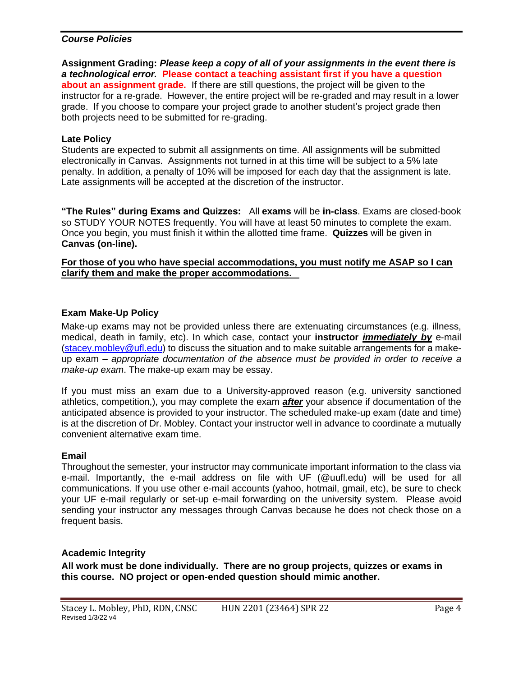#### *Course Policies*

**Assignment Grading:** *Please keep a copy of all of your assignments in the event there is a technological error.* **Please contact a teaching assistant first if you have a question about an assignment grade.** If there are still questions, the project will be given to the instructor for a re-grade. However, the entire project will be re-graded and may result in a lower grade. If you choose to compare your project grade to another student's project grade then both projects need to be submitted for re-grading.

#### **Late Policy**

Students are expected to submit all assignments on time. All assignments will be submitted electronically in Canvas. Assignments not turned in at this time will be subject to a 5% late penalty. In addition, a penalty of 10% will be imposed for each day that the assignment is late. Late assignments will be accepted at the discretion of the instructor.

**"The Rules" during Exams and Quizzes:** All **exams** will be **in-class**. Exams are closed-book so STUDY YOUR NOTES frequently. You will have at least 50 minutes to complete the exam. Once you begin, you must finish it within the allotted time frame. **Quizzes** will be given in **Canvas (on-line).**

**For those of you who have special accommodations, you must notify me ASAP so I can clarify them and make the proper accommodations.**

#### **Exam Make-Up Policy**

Make-up exams may not be provided unless there are extenuating circumstances (e.g. illness, medical, death in family, etc). In which case, contact your **instructor** *immediately by* e-mail [\(stacey.mobley@ufl.edu\)](mailto:stacey.mobley@ufl.edu) to discuss the situation and to make suitable arrangements for a makeup exam – *appropriate documentation of the absence must be provided in order to receive a make-up exam*. The make-up exam may be essay.

If you must miss an exam due to a University-approved reason (e.g. university sanctioned athletics, competition,), you may complete the exam *after* your absence if documentation of the anticipated absence is provided to your instructor. The scheduled make-up exam (date and time) is at the discretion of Dr. Mobley. Contact your instructor well in advance to coordinate a mutually convenient alternative exam time.

#### **Email**

Throughout the semester, your instructor may communicate important information to the class via e-mail. Importantly, the e-mail address on file with UF (@uufl.edu) will be used for all communications. If you use other e-mail accounts (yahoo, hotmail, gmail, etc), be sure to check your UF e-mail regularly or set-up e-mail forwarding on the university system. Please avoid sending your instructor any messages through Canvas because he does not check those on a frequent basis.

#### **Academic Integrity**

**All work must be done individually. There are no group projects, quizzes or exams in this course. NO project or open-ended question should mimic another.**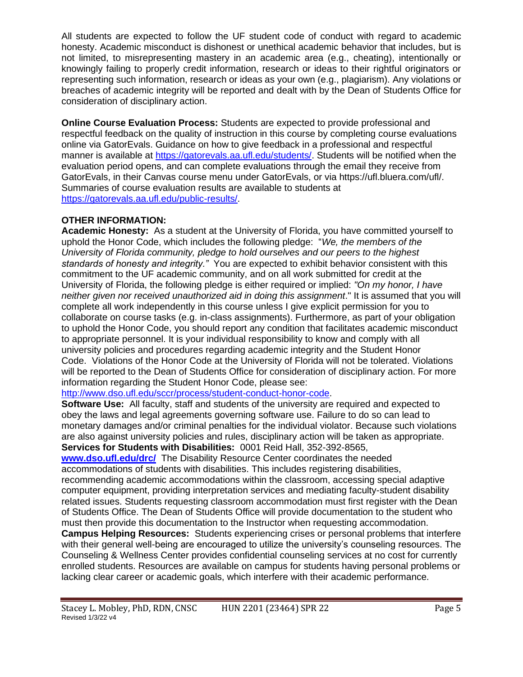All students are expected to follow the UF student code of conduct with regard to academic honesty. Academic misconduct is dishonest or unethical academic behavior that includes, but is not limited, to misrepresenting mastery in an academic area (e.g., cheating), intentionally or knowingly failing to properly credit information, research or ideas to their rightful originators or representing such information, research or ideas as your own (e.g., plagiarism). Any violations or breaches of academic integrity will be reported and dealt with by the Dean of Students Office for consideration of disciplinary action.

**Online Course Evaluation Process:** Students are expected to provide professional and respectful feedback on the quality of instruction in this course by completing course evaluations online via GatorEvals. Guidance on how to give feedback in a professional and respectful manner is available at [https://gatorevals.aa.ufl.edu/students/.](https://gatorevals.aa.ufl.edu/students/) Students will be notified when the evaluation period opens, and can complete evaluations through the email they receive from GatorEvals, in their Canvas course menu under GatorEvals, or via https://ufl.bluera.com/ufl/. Summaries of course evaluation results are available to students at [https://gatorevals.aa.ufl.edu/public-results/.](https://gatorevals.aa.ufl.edu/public-results/)

## **OTHER INFORMATION:**

**Academic Honesty:** As a student at the University of Florida, you have committed yourself to uphold the Honor Code, which includes the following pledge: "*We, the members of the University of Florida community, pledge to hold ourselves and our peers to the highest standards of honesty and integrity."* You are expected to exhibit behavior consistent with this commitment to the UF academic community, and on all work submitted for credit at the University of Florida, the following pledge is either required or implied: *"On my honor, I have neither given nor received unauthorized aid in doing this assignment*." It is assumed that you will complete all work independently in this course unless I give explicit permission for you to collaborate on course tasks (e.g. in-class assignments). Furthermore, as part of your obligation to uphold the Honor Code, you should report any condition that facilitates academic misconduct to appropriate personnel. It is your individual responsibility to know and comply with all university policies and procedures regarding academic integrity and the Student Honor Code. Violations of the Honor Code at the University of Florida will not be tolerated. Violations will be reported to the Dean of Students Office for consideration of disciplinary action. For more information regarding the Student Honor Code, please see:

[http://www.dso.ufl.edu/sccr/process/student-conduct-honor-code.](http://www.dso.ufl.edu/sccr/process/student-conduct-honor-code)

**Software Use:** All faculty, staff and students of the university are required and expected to obey the laws and legal agreements governing software use. Failure to do so can lead to monetary damages and/or criminal penalties for the individual violator. Because such violations are also against university policies and rules, disciplinary action will be taken as appropriate. **Services for Students with Disabilities:** 0001 Reid Hall, 352-392-8565,

**[www.dso.ufl.edu/drc/](http://www.dso.ufl.edu/drc/)** The Disability Resource Center coordinates the needed accommodations of students with disabilities. This includes registering disabilities,

recommending academic accommodations within the classroom, accessing special adaptive computer equipment, providing interpretation services and mediating faculty-student disability related issues. Students requesting classroom accommodation must first register with the Dean of Students Office. The Dean of Students Office will provide documentation to the student who must then provide this documentation to the Instructor when requesting accommodation.

**Campus Helping Resources:** Students experiencing crises or personal problems that interfere with their general well-being are encouraged to utilize the university's counseling resources. The Counseling & Wellness Center provides confidential counseling services at no cost for currently enrolled students. Resources are available on campus for students having personal problems or lacking clear career or academic goals, which interfere with their academic performance.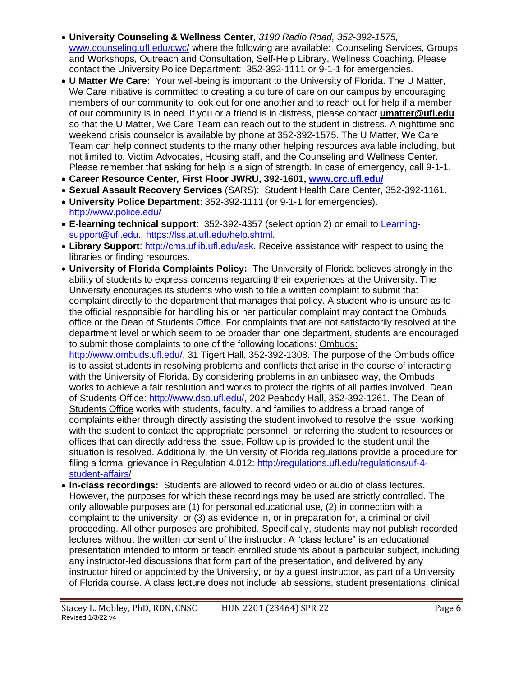- **University Counseling & Wellness Center***, 3190 Radio Road, 352-392-1575,* [www.counseling.ufl.edu/cwc/](http://www.counseling.ufl.edu/cwc/) where the following are available: Counseling Services, Groups and Workshops, Outreach and Consultation, Self-Help Library, Wellness Coaching. Please contact the University Police Department: 352-392-1111 or 9-1-1 for emergencies.
- **U Matter We Care:** Your well-being is important to the University of Florida. The U Matter, We Care initiative is committed to creating a culture of care on our campus by encouraging members of our community to look out for one another and to reach out for help if a member of our community is in need. If you or a friend is in distress, please contact **[umatter@ufl.edu](mailto:umatter@ufl.edu)** so that the U Matter, We Care Team can reach out to the student in distress. A nighttime and weekend crisis counselor is available by phone at 352-392-1575. The U Matter, We Care Team can help connect students to the many other helping resources available including, but not limited to, Victim Advocates, Housing staff, and the Counseling and Wellness Center. Please remember that asking for help is a sign of strength. In case of emergency, call 9-1-1.
- **Career Resource Center***,* **First Floor JWRU, 392-1601, [www.crc.ufl.edu/](http://www.crc.ufl.edu/)**
- **Sexual Assault Recovery Services** (SARS): Student Health Care Center, 352-392-1161.
- **University Police Department**: 352-392-1111 (or 9-1-1 for emergencies). <http://www.police.edu/>
- **E-learning technical support**: 352-392-4357 (select option 2) or email to [Learning](mailto:Learning-support@ufl.edu)[support@ufl.edu.](mailto:Learning-support@ufl.edu) [https://lss.at.ufl.edu/help.shtml.](https://lss.at.ufl.edu/help.shtml)
- **Library Support**: [http://cms.uflib.ufl.edu/ask.](http://cms.uflib.ufl.edu/ask) Receive assistance with respect to using the libraries or finding resources.
- **University of Florida Complaints Policy:** The University of Florida believes strongly in the ability of students to express concerns regarding their experiences at the University. The University encourages its students who wish to file a written complaint to submit that complaint directly to the department that manages that policy. A student who is unsure as to the official responsible for handling his or her particular complaint may contact the Ombuds office or the Dean of Students Office. For complaints that are not satisfactorily resolved at the department level or which seem to be broader than one department, students are encouraged to submit those complaints to one of the following locations: Ombuds:

http://www.ombuds.ufl.edu/, 31 Tigert Hall, 352-392-1308. The purpose of the Ombuds office is to assist students in resolving problems and conflicts that arise in the course of interacting with the University of Florida. By considering problems in an unbiased way, the Ombuds works to achieve a fair resolution and works to protect the rights of all parties involved. Dean of Students Office: [http://www.dso.ufl.edu/,](http://www.dso.ufl.edu/) 202 Peabody Hall, 352-392-1261. The Dean of Students Office works with students, faculty, and families to address a broad range of complaints either through directly assisting the student involved to resolve the issue, working with the student to contact the appropriate personnel, or referring the student to resources or offices that can directly address the issue. Follow up is provided to the student until the situation is resolved. Additionally, the University of Florida regulations provide a procedure for filing a formal grievance in Regulation 4.012: [http://regulations.ufl.edu/regulations/uf-4](http://regulations.ufl.edu/regulations/uf-4-student-affairs/) [student-affairs/](http://regulations.ufl.edu/regulations/uf-4-student-affairs/)

• **In-class recordings:** Students are allowed to record video or audio of class lectures. However, the purposes for which these recordings may be used are strictly controlled. The only allowable purposes are (1) for personal educational use, (2) in connection with a complaint to the university, or (3) as evidence in, or in preparation for, a criminal or civil proceeding. All other purposes are prohibited. Specifically, students may not publish recorded lectures without the written consent of the instructor. A "class lecture" is an educational presentation intended to inform or teach enrolled students about a particular subject, including any instructor-led discussions that form part of the presentation, and delivered by any instructor hired or appointed by the University, or by a guest instructor, as part of a University of Florida course. A class lecture does not include lab sessions, student presentations, clinical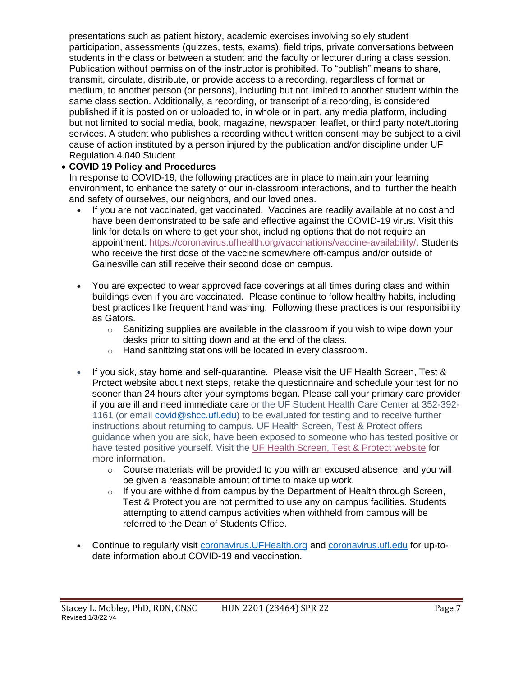presentations such as patient history, academic exercises involving solely student participation, assessments (quizzes, tests, exams), field trips, private conversations between students in the class or between a student and the faculty or lecturer during a class session. Publication without permission of the instructor is prohibited. To "publish" means to share, transmit, circulate, distribute, or provide access to a recording, regardless of format or medium, to another person (or persons), including but not limited to another student within the same class section. Additionally, a recording, or transcript of a recording, is considered published if it is posted on or uploaded to, in whole or in part, any media platform, including but not limited to social media, book, magazine, newspaper, leaflet, or third party note/tutoring services. A student who publishes a recording without written consent may be subject to a civil cause of action instituted by a person injured by the publication and/or discipline under UF Regulation 4.040 Student

#### • **COVID 19 Policy and Procedures**

In response to COVID-19, the following practices are in place to maintain your learning environment, to enhance the safety of our in-classroom interactions, and to further the health and safety of ourselves, our neighbors, and our loved ones.

- If you are not vaccinated, get vaccinated. Vaccines are readily available at no cost and have been demonstrated to be safe and effective against the COVID-19 virus. Visit this link for details on where to get your shot, including options that do not require an appointment: [https://coronavirus.ufhealth.org/vaccinations/vaccine-availability/.](https://coronavirus.ufhealth.org/vaccinations/vaccine-availability/) Students who receive the first dose of the vaccine somewhere off-campus and/or outside of Gainesville can still receive their second dose on campus.
- You are expected to wear approved face coverings at all times during class and within buildings even if you are vaccinated. Please continue to follow healthy habits, including best practices like frequent hand washing. Following these practices is our responsibility as Gators.
	- $\circ$  Sanitizing supplies are available in the classroom if you wish to wipe down your desks prior to sitting down and at the end of the class.
	- o Hand sanitizing stations will be located in every classroom.
- If you sick, stay home and self-quarantine. Please visit the UF Health Screen. Test & Protect website about next steps, retake the questionnaire and schedule your test for no sooner than 24 hours after your symptoms began. Please call your primary care provider if you are ill and need immediate care or the UF Student Health Care Center at 352-392- 1161 (or email [covid@shcc.ufl.edu\)](mailto:covid@shcc.ufl.edu) to be evaluated for testing and to receive further instructions about returning to campus. UF Health Screen, Test & Protect offers guidance when you are sick, have been exposed to someone who has tested positive or have tested positive yourself. Visit the UF Health [Screen,](https://click.info.gator360.ufl.edu/?qs=8f0d5e01a3f7385148f144e2089093522a358a8d85cb9db73c31675d3c5e5c0d27748d40c212f544822551342f1912ea5b4f2b890d5952e8) Test & Protect website for more information.
	- $\circ$  Course materials will be provided to you with an excused absence, and you will be given a reasonable amount of time to make up work.
	- $\circ$  If you are withheld from campus by the Department of Health through Screen, Test & Protect you are not permitted to use any on campus facilities. Students attempting to attend campus activities when withheld from campus will be referred to the Dean of Students Office.
- Continue to regularly visit coronavirus. UFHealth.org and coronavirus. ufl.edu for up-todate information about COVID-19 and vaccination.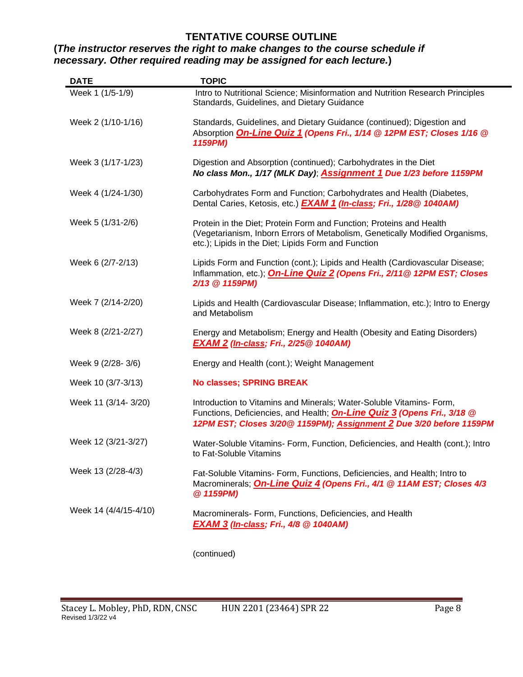### **TENTATIVE COURSE OUTLINE**

## **(***The instructor reserves the right to make changes to the course schedule if necessary. Other required reading may be assigned for each lecture.***)**

| <b>DATE</b>           | <b>TOPIC</b>                                                                                                                                                                                                                  |
|-----------------------|-------------------------------------------------------------------------------------------------------------------------------------------------------------------------------------------------------------------------------|
| Week 1 (1/5-1/9)      | Intro to Nutritional Science; Misinformation and Nutrition Research Principles<br>Standards, Guidelines, and Dietary Guidance                                                                                                 |
| Week 2 (1/10-1/16)    | Standards, Guidelines, and Dietary Guidance (continued); Digestion and<br>Absorption On-Line Quiz 1 (Opens Fri., 1/14 @ 12PM EST; Closes 1/16 @<br>1159PM)                                                                    |
| Week 3 (1/17-1/23)    | Digestion and Absorption (continued); Carbohydrates in the Diet<br>No class Mon., 1/17 (MLK Day); <b>Assignment 1</b> Due 1/23 before 1159PM                                                                                  |
| Week 4 (1/24-1/30)    | Carbohydrates Form and Function; Carbohydrates and Health (Diabetes,<br>Dental Caries, Ketosis, etc.) <b>EXAM 1 (In-class; Fri., 1/28@ 1040AM)</b>                                                                            |
| Week 5 (1/31-2/6)     | Protein in the Diet; Protein Form and Function; Proteins and Health<br>(Vegetarianism, Inborn Errors of Metabolism, Genetically Modified Organisms,<br>etc.); Lipids in the Diet; Lipids Form and Function                    |
| Week 6 (2/7-2/13)     | Lipids Form and Function (cont.); Lipids and Health (Cardiovascular Disease;<br>Inflammation, etc.); <b>On-Line Quiz 2 (Opens Fri., 2/11@ 12PM EST; Closes</b><br>2/13 @ 1159PM)                                              |
| Week 7 (2/14-2/20)    | Lipids and Health (Cardiovascular Disease; Inflammation, etc.); Intro to Energy<br>and Metabolism                                                                                                                             |
| Week 8 (2/21-2/27)    | Energy and Metabolism; Energy and Health (Obesity and Eating Disorders)<br><b>EXAM 2 (In-class; Fri., 2/25@ 1040AM)</b>                                                                                                       |
| Week 9 (2/28-3/6)     | Energy and Health (cont.); Weight Management                                                                                                                                                                                  |
| Week 10 (3/7-3/13)    | <b>No classes; SPRING BREAK</b>                                                                                                                                                                                               |
| Week 11 (3/14-3/20)   | Introduction to Vitamins and Minerals; Water-Soluble Vitamins- Form,<br>Functions, Deficiencies, and Health; <b>On-Line Quiz 3 (Opens Fri., 3/18 @</b><br>12PM EST; Closes 3/20@ 1159PM); Assignment 2 Due 3/20 before 1159PM |
| Week 12 (3/21-3/27)   | Water-Soluble Vitamins- Form, Function, Deficiencies, and Health (cont.); Intro<br>to Fat-Soluble Vitamins                                                                                                                    |
| Week 13 (2/28-4/3)    | Fat-Soluble Vitamins- Form, Functions, Deficiencies, and Health; Intro to<br>Macrominerals; <b>On-Line Quiz 4 (Opens Fri., 4/1 @ 11AM EST; Closes 4/3</b><br>@ 1159PM)                                                        |
| Week 14 (4/4/15-4/10) | Macrominerals- Form, Functions, Deficiencies, and Health<br><b>EXAM 3 (In-class; Fri., 4/8 @ 1040AM)</b>                                                                                                                      |

(continued)